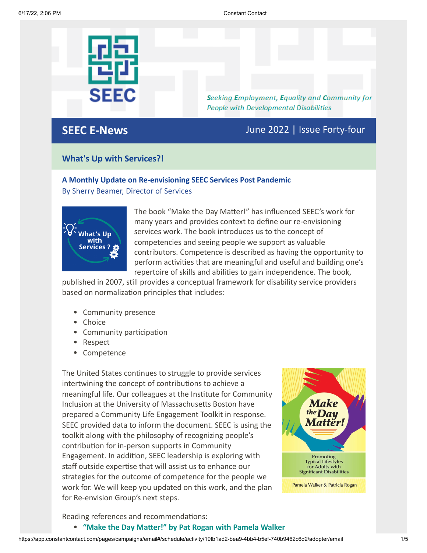

Seeking Employment, Equality and Community for **People with Developmental Disabilities** 

**SEEC E-News** June 2022 | Issue Forty-four

### **What's Up with Services?!**

### **A Monthly Update on Re-envisioning SEEC Services Post Pandemic** By Sherry Beamer, Director of Services



The book "Make the Day Matter!" has influenced SEEC's work for many years and provides context to define our re-envisioning services work. The book introduces us to the concept of competencies and seeing people we support as valuable contributors. Competence is described as having the opportunity to perform activities that are meaningful and useful and building one's repertoire of skills and abilities to gain independence. The book,

published in 2007, still provides a conceptual framework for disability service providers based on normalization principles that includes:

- Community presence
- Choice
- Community participation
- Respect
- Competence

The United States continues to struggle to provide services intertwining the concept of contributions to achieve a meaningful life. Our colleagues at the Institute for Community Inclusion at the University of Massachusetts Boston have prepared a Community Life Engagement Toolkit in response. SEEC provided data to inform the document. SEEC is using the toolkit along with the philosophy of recognizing people's contribution for in-person supports in Community Engagement. In addition, SEEC leadership is exploring with staff outside expertise that will assist us to enhance our strategies for the outcome of competence for the people we work for. We will keep you updated on this work, and the plan for Re-envision Group's next steps.



Reading references and recommendations:

**["Make the Day Matter!" by Pat Rogan with Pamela Walker](https://products.brookespublishing.com/Make-the-Day-Matter-P281.aspx)**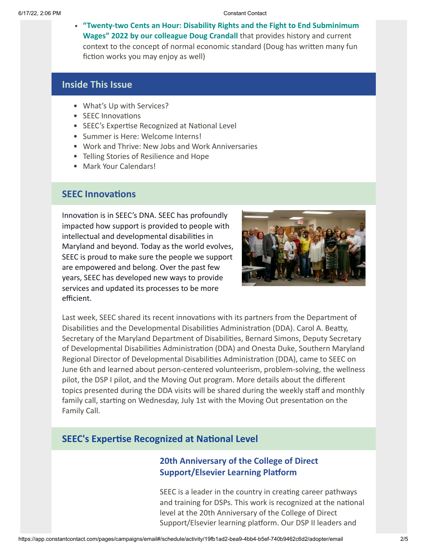**["Twenty-two Cents an Hour: Disability Rights and the Fight to End Subminimum](https://dougcrandell.com/) Wages" 2022 by our colleague Doug Crandall** that provides history and current context to the concept of normal economic standard (Doug has written many fun fiction works you may enjoy as well)

### **Inside This Issue**

- What's Up with Services?
- SEEC Innovations
- SEEC's Expertise Recognized at National Level
- Summer is Here: Welcome Interns!
- Work and Thrive: New Jobs and Work Anniversaries
- Telling Stories of Resilience and Hope
- Mark Your Calendars!

# **SEEC Innovations**

Innovation is in SEEC's DNA. SEEC has profoundly impacted how support is provided to people with intellectual and developmental disabilities in Maryland and beyond. Today as the world evolves, SEEC is proud to make sure the people we support are empowered and belong. Over the past few years, SEEC has developed new ways to provide services and updated its processes to be more efficient.



Last week, SEEC shared its recent innovations with its partners from the Department of Disabilities and the Developmental Disabilities Administration (DDA). Carol A. Beatty, Secretary of the Maryland Department of Disabilities, Bernard Simons, Deputy Secretary of Developmental Disabilities Administration (DDA) and Onesta Duke, Southern Maryland Regional Director of Developmental Disabilities Administration (DDA), came to SEEC on June 6th and learned about person-centered volunteerism, problem-solving, the wellness pilot, the DSP I pilot, and the Moving Out program. More details about the different topics presented during the DDA visits will be shared during the weekly staff and monthly family call, starting on Wednesday, July 1st with the Moving Out presentation on the Family Call.

# **SEEC's Expertise Recognized at National Level**

# **20th Anniversary of the College of Direct Support/Elsevier Learning Platform**

SEEC is a leader in the country in creating career pathways and training for DSPs. This work is recognized at the national level at the 20th Anniversary of the College of Direct Support/Elsevier learning platform. Our DSP II leaders and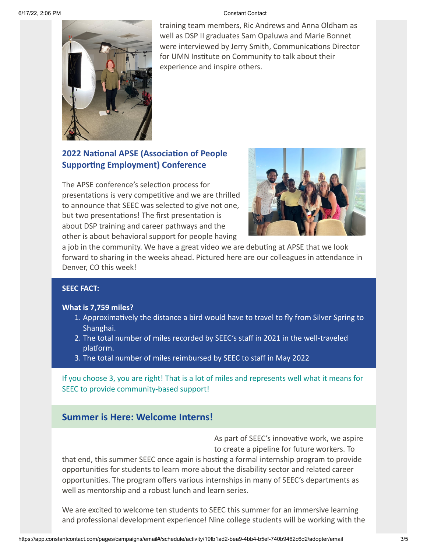

training team members, Ric Andrews and Anna Oldham as well as DSP II graduates Sam Opaluwa and Marie Bonnet were interviewed by Jerry Smith, Communications Director for UMN Institute on Community to talk about their experience and inspire others.

# **2022 National APSE (Association of People Supporting Employment) Conference**

The APSE conference's selection process for presentations is very competitive and we are thrilled to announce that SEEC was selected to give not one, but two presentations! The first presentation is about DSP training and career pathways and the other is about behavioral support for people having



a job in the community. We have a great video we are debuting at APSE that we look forward to sharing in the weeks ahead. Pictured here are our colleagues in attendance in Denver, CO this week!

#### **SEEC FACT:**

#### **What is 7,759 miles?**

- 1. Approximatively the distance a bird would have to travel to fly from Silver Spring to Shanghai.
- 2. The total number of miles recorded by SEEC's staff in 2021 in the well-traveled platform.
- 3. The total number of miles reimbursed by SEEC to staff in May 2022

If you choose 3, you are right! That is a lot of miles and represents well what it means for SEEC to provide community-based support!

# **Summer is Here: Welcome Interns!**

As part of SEEC's innovative work, we aspire to create a pipeline for future workers. To

that end, this summer SEEC once again is hosting a formal internship program to provide opportunities for students to learn more about the disability sector and related career opportunities. The program offers various internships in many of SEEC's departments as well as mentorship and a robust lunch and learn series.

We are excited to welcome ten students to SEEC this summer for an immersive learning and professional development experience! Nine college students will be working with the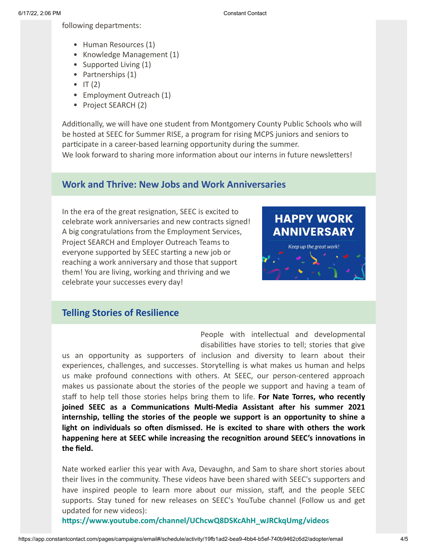following departments:

- Human Resources (1)
- Knowledge Management (1)
- Supported Living (1)
- Partnerships (1)
- $\bullet$  IT (2)
- Employment Outreach (1)
- Project SEARCH (2)

Additionally, we will have one student from Montgomery County Public Schools who will be hosted at SEEC for Summer RISE, a program for rising MCPS juniors and seniors to participate in a career-based learning opportunity during the summer.

We look forward to sharing more information about our interns in future newsletters!

# **Work and Thrive: New Jobs and Work Anniversaries**

In the era of the great resignation, SEEC is excited to celebrate work anniversaries and new contracts signed! A big congratulations from the Employment Services, Project SEARCH and Employer Outreach Teams to everyone supported by SEEC starting a new job or reaching a work anniversary and those that support them! You are living, working and thriving and we celebrate your successes every day!

# **HAPPY WORK ANNIVERSARY**



## **Telling Stories of Resilience**

People with intellectual and developmental disabilities have stories to tell; stories that give

us an opportunity as supporters of inclusion and diversity to learn about their experiences, challenges, and successes. Storytelling is what makes us human and helps us make profound connections with others. At SEEC, our person-centered approach makes us passionate about the stories of the people we support and having a team of staff to help tell those stories helps bring them to life. **For Nate Torres, who recently joined SEEC as a Communications Multi-Media Assistant after his summer 2021 internship, telling the stories of the people we support is an opportunity to shine a light on individuals so often dismissed. He is excited to share with others the work happening here at SEEC while increasing the recognition around SEEC's innovations in the field.**

Nate worked earlier this year with Ava, Devaughn, and Sam to share short stories about their lives in the community. These videos have been shared with SEEC's supporters and have inspired people to learn more about our mission, staff, and the people SEEC supports. Stay tuned for new releases on SEEC's YouTube channel (Follow us and get updated for new videos):

**[https://www.youtube.com/channel/UChcwQ8DSKcAhH\\_wJRCkqUmg/videos](https://www.youtube.com/channel/UChcwQ8DSKcAhH_wJRCkqUmg/videos)**